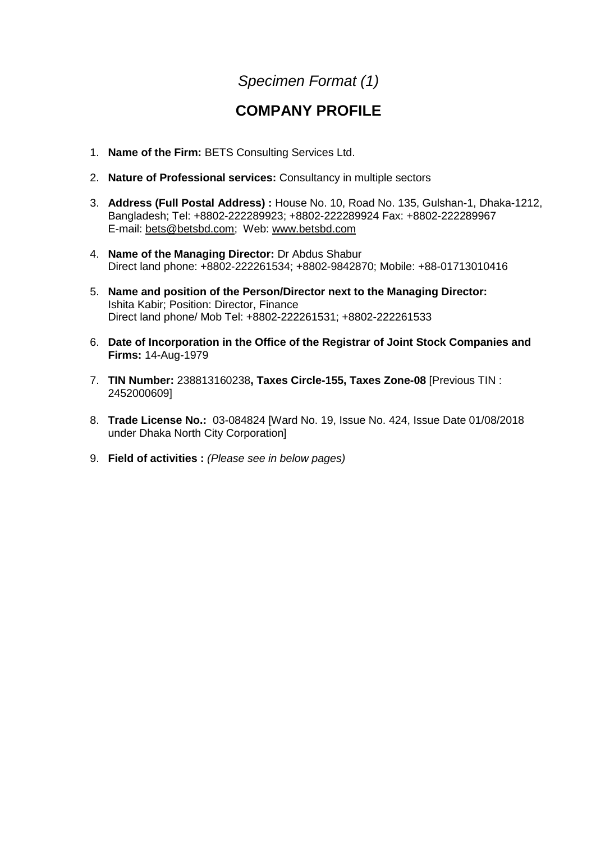# *Specimen Format (1)*

# **COMPANY PROFILE**

- 1. **Name of the Firm:** BETS Consulting Services Ltd.
- 2. **Nature of Professional services:** Consultancy in multiple sectors
- 3. **Address (Full Postal Address) :** House No. 10, Road No. 135, Gulshan-1, Dhaka-1212, Bangladesh; Tel: +8802-222289923; +8802-222289924 Fax: +8802-222289967 E-mail: [bets@betsbd.com;](mailto:bets@betsbd.com) Web: [www.betsbd.com](http://www.betsbd.com/)
- 4. **Name of the Managing Director:** Dr Abdus Shabur Direct land phone: +8802-222261534; +8802-9842870; Mobile: +88-01713010416
- 5. **Name and position of the Person/Director next to the Managing Director:** Ishita Kabir; Position: Director, Finance Direct land phone/ Mob Tel: +8802-222261531; +8802-222261533
- 6. **Date of Incorporation in the Office of the Registrar of Joint Stock Companies and Firms:** 14-Aug-1979
- 7. **TIN Number:** 238813160238**, Taxes Circle-155, Taxes Zone-08** [Previous TIN : 2452000609]
- 8. **Trade License No.:** 03-084824 [Ward No. 19, Issue No. 424, Issue Date 01/08/2018 under Dhaka North City Corporation]
- 9. **Field of activities :** *(Please see in below pages)*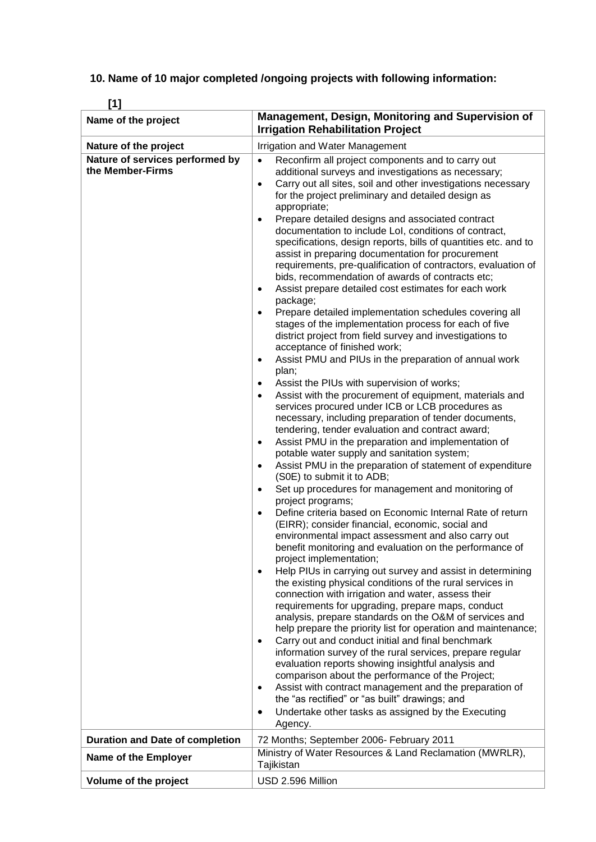**10. Name of 10 major completed /ongoing projects with following information:**

| LЧ<br>Name of the project                           | Management, Design, Monitoring and Supervision of<br><b>Irrigation Rehabilitation Project</b>                                                                                                                                                                                                                                                                                                                                                                                                                                                                                                                                                                                                                                                                                                                                                                                                                                                                                                                                                                                                                                                                                                                                                                                                                                                                                                                                                                                                                                                                                                                                                                                                                                                                                                                                                                                                                                                                                                                                                                                                                                                                                                                                                                                                                                                                                                                                                                                                                                                                                                                                                                                                                                       |
|-----------------------------------------------------|-------------------------------------------------------------------------------------------------------------------------------------------------------------------------------------------------------------------------------------------------------------------------------------------------------------------------------------------------------------------------------------------------------------------------------------------------------------------------------------------------------------------------------------------------------------------------------------------------------------------------------------------------------------------------------------------------------------------------------------------------------------------------------------------------------------------------------------------------------------------------------------------------------------------------------------------------------------------------------------------------------------------------------------------------------------------------------------------------------------------------------------------------------------------------------------------------------------------------------------------------------------------------------------------------------------------------------------------------------------------------------------------------------------------------------------------------------------------------------------------------------------------------------------------------------------------------------------------------------------------------------------------------------------------------------------------------------------------------------------------------------------------------------------------------------------------------------------------------------------------------------------------------------------------------------------------------------------------------------------------------------------------------------------------------------------------------------------------------------------------------------------------------------------------------------------------------------------------------------------------------------------------------------------------------------------------------------------------------------------------------------------------------------------------------------------------------------------------------------------------------------------------------------------------------------------------------------------------------------------------------------------------------------------------------------------------------------------------------------------|
| Nature of the project                               | Irrigation and Water Management                                                                                                                                                                                                                                                                                                                                                                                                                                                                                                                                                                                                                                                                                                                                                                                                                                                                                                                                                                                                                                                                                                                                                                                                                                                                                                                                                                                                                                                                                                                                                                                                                                                                                                                                                                                                                                                                                                                                                                                                                                                                                                                                                                                                                                                                                                                                                                                                                                                                                                                                                                                                                                                                                                     |
| Nature of services performed by<br>the Member-Firms | Reconfirm all project components and to carry out<br>additional surveys and investigations as necessary;<br>Carry out all sites, soil and other investigations necessary<br>$\bullet$<br>for the project preliminary and detailed design as<br>appropriate;<br>Prepare detailed designs and associated contract<br>documentation to include LoI, conditions of contract,<br>specifications, design reports, bills of quantities etc. and to<br>assist in preparing documentation for procurement<br>requirements, pre-qualification of contractors, evaluation of<br>bids, recommendation of awards of contracts etc;<br>Assist prepare detailed cost estimates for each work<br>$\bullet$<br>package;<br>Prepare detailed implementation schedules covering all<br>stages of the implementation process for each of five<br>district project from field survey and investigations to<br>acceptance of finished work;<br>Assist PMU and PIUs in the preparation of annual work<br>$\bullet$<br>plan;<br>Assist the PIUs with supervision of works;<br>$\bullet$<br>Assist with the procurement of equipment, materials and<br>$\bullet$<br>services procured under ICB or LCB procedures as<br>necessary, including preparation of tender documents,<br>tendering, tender evaluation and contract award;<br>Assist PMU in the preparation and implementation of<br>$\bullet$<br>potable water supply and sanitation system;<br>Assist PMU in the preparation of statement of expenditure<br>$\bullet$<br>(S0E) to submit it to ADB;<br>Set up procedures for management and monitoring of<br>$\bullet$<br>project programs;<br>Define criteria based on Economic Internal Rate of return<br>$\bullet$<br>(EIRR); consider financial, economic, social and<br>environmental impact assessment and also carry out<br>benefit monitoring and evaluation on the performance of<br>project implementation;<br>Help PIUs in carrying out survey and assist in determining<br>$\bullet$<br>the existing physical conditions of the rural services in<br>connection with irrigation and water, assess their<br>requirements for upgrading, prepare maps, conduct<br>analysis, prepare standards on the O&M of services and<br>help prepare the priority list for operation and maintenance;<br>Carry out and conduct initial and final benchmark<br>$\bullet$<br>information survey of the rural services, prepare regular<br>evaluation reports showing insightful analysis and<br>comparison about the performance of the Project;<br>Assist with contract management and the preparation of<br>$\bullet$<br>the "as rectified" or "as built" drawings; and<br>Undertake other tasks as assigned by the Executing<br>$\bullet$<br>Agency. |
| <b>Duration and Date of completion</b>              | 72 Months; September 2006- February 2011                                                                                                                                                                                                                                                                                                                                                                                                                                                                                                                                                                                                                                                                                                                                                                                                                                                                                                                                                                                                                                                                                                                                                                                                                                                                                                                                                                                                                                                                                                                                                                                                                                                                                                                                                                                                                                                                                                                                                                                                                                                                                                                                                                                                                                                                                                                                                                                                                                                                                                                                                                                                                                                                                            |
| Name of the Employer                                | Ministry of Water Resources & Land Reclamation (MWRLR),<br>Tajikistan                                                                                                                                                                                                                                                                                                                                                                                                                                                                                                                                                                                                                                                                                                                                                                                                                                                                                                                                                                                                                                                                                                                                                                                                                                                                                                                                                                                                                                                                                                                                                                                                                                                                                                                                                                                                                                                                                                                                                                                                                                                                                                                                                                                                                                                                                                                                                                                                                                                                                                                                                                                                                                                               |
| Volume of the project                               | USD 2.596 Million                                                                                                                                                                                                                                                                                                                                                                                                                                                                                                                                                                                                                                                                                                                                                                                                                                                                                                                                                                                                                                                                                                                                                                                                                                                                                                                                                                                                                                                                                                                                                                                                                                                                                                                                                                                                                                                                                                                                                                                                                                                                                                                                                                                                                                                                                                                                                                                                                                                                                                                                                                                                                                                                                                                   |

**[1]**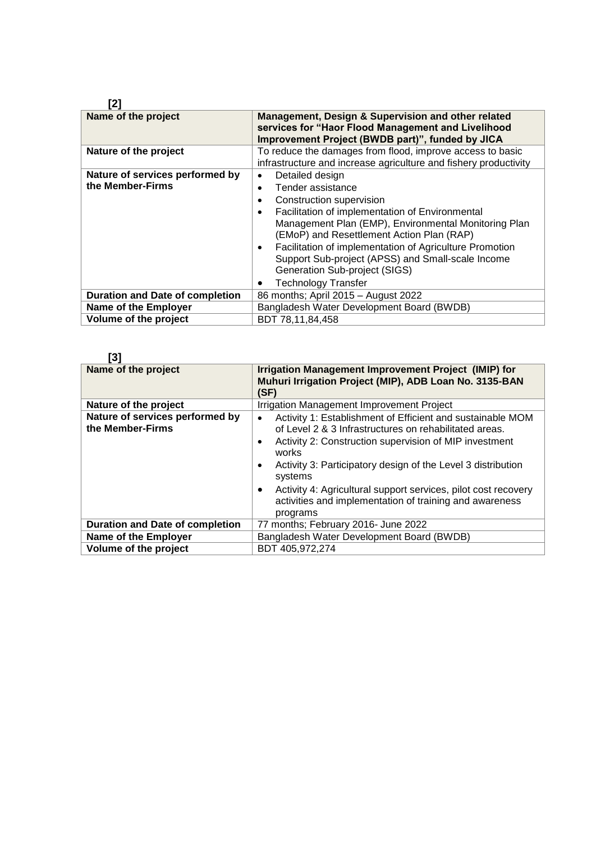### **[2]**

| Name of the project                                 | Management, Design & Supervision and other related<br>services for "Haor Flood Management and Livelihood<br>Improvement Project (BWDB part)", funded by JICA                                                                                                                                                                                                                                                             |
|-----------------------------------------------------|--------------------------------------------------------------------------------------------------------------------------------------------------------------------------------------------------------------------------------------------------------------------------------------------------------------------------------------------------------------------------------------------------------------------------|
| Nature of the project                               | To reduce the damages from flood, improve access to basic<br>infrastructure and increase agriculture and fishery productivity                                                                                                                                                                                                                                                                                            |
| Nature of services performed by<br>the Member-Firms | Detailed design<br>Tender assistance<br>Construction supervision<br>Facilitation of implementation of Environmental<br>٠<br>Management Plan (EMP), Environmental Monitoring Plan<br>(EMoP) and Resettlement Action Plan (RAP)<br>Facilitation of implementation of Agriculture Promotion<br>٠<br>Support Sub-project (APSS) and Small-scale Income<br><b>Generation Sub-project (SIGS)</b><br><b>Technology Transfer</b> |
| <b>Duration and Date of completion</b>              | 86 months; April 2015 - August 2022                                                                                                                                                                                                                                                                                                                                                                                      |
| Name of the Employer                                | Bangladesh Water Development Board (BWDB)                                                                                                                                                                                                                                                                                                                                                                                |
| Volume of the project                               | BDT 78,11,84,458                                                                                                                                                                                                                                                                                                                                                                                                         |

| [3]                                                 |                                                                                                                                                                                                                                                                                                                                                                                                                          |
|-----------------------------------------------------|--------------------------------------------------------------------------------------------------------------------------------------------------------------------------------------------------------------------------------------------------------------------------------------------------------------------------------------------------------------------------------------------------------------------------|
| Name of the project                                 | Irrigation Management Improvement Project (IMIP) for<br>Muhuri Irrigation Project (MIP), ADB Loan No. 3135-BAN<br>(SF)                                                                                                                                                                                                                                                                                                   |
| Nature of the project                               | Irrigation Management Improvement Project                                                                                                                                                                                                                                                                                                                                                                                |
| Nature of services performed by<br>the Member-Firms | Activity 1: Establishment of Efficient and sustainable MOM<br>$\bullet$<br>of Level 2 & 3 Infrastructures on rehabilitated areas.<br>Activity 2: Construction supervision of MIP investment<br>works<br>Activity 3: Participatory design of the Level 3 distribution<br>systems<br>Activity 4: Agricultural support services, pilot cost recovery<br>activities and implementation of training and awareness<br>programs |
| <b>Duration and Date of completion</b>              | 77 months; February 2016- June 2022                                                                                                                                                                                                                                                                                                                                                                                      |
| Name of the Employer                                | Bangladesh Water Development Board (BWDB)                                                                                                                                                                                                                                                                                                                                                                                |
| Volume of the project                               | BDT 405,972,274                                                                                                                                                                                                                                                                                                                                                                                                          |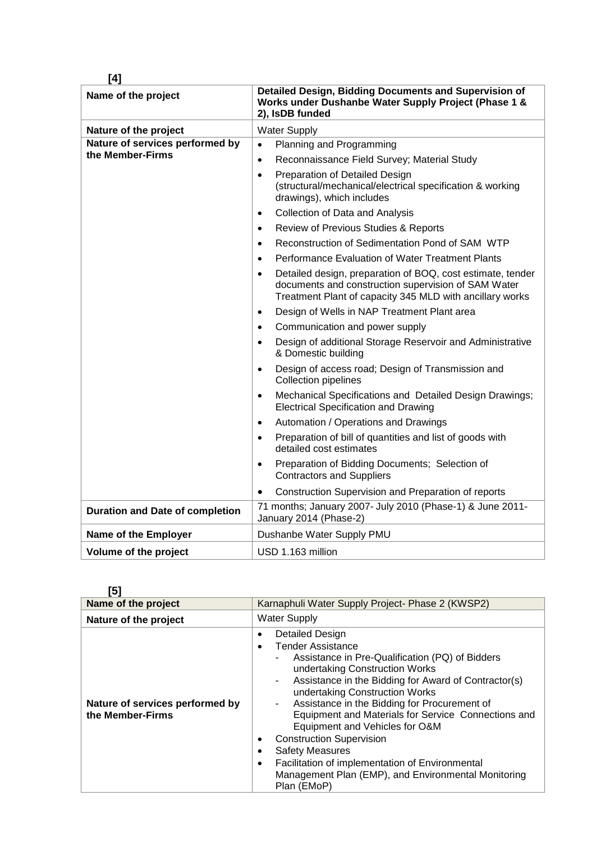| [4]                                    |                                                                                                                                                                                            |
|----------------------------------------|--------------------------------------------------------------------------------------------------------------------------------------------------------------------------------------------|
| Name of the project                    | Detailed Design, Bidding Documents and Supervision of<br>Works under Dushanbe Water Supply Project (Phase 1 &<br>2), IsDB funded                                                           |
| Nature of the project                  | <b>Water Supply</b>                                                                                                                                                                        |
| Nature of services performed by        | Planning and Programming<br>$\bullet$                                                                                                                                                      |
| the Member-Firms                       | Reconnaissance Field Survey; Material Study<br>$\bullet$                                                                                                                                   |
|                                        | Preparation of Detailed Design<br>$\bullet$<br>(structural/mechanical/electrical specification & working<br>drawings), which includes                                                      |
|                                        | Collection of Data and Analysis<br>$\bullet$                                                                                                                                               |
|                                        | Review of Previous Studies & Reports<br>$\bullet$                                                                                                                                          |
|                                        | Reconstruction of Sedimentation Pond of SAM WTP<br>$\bullet$                                                                                                                               |
|                                        | Performance Evaluation of Water Treatment Plants<br>$\bullet$                                                                                                                              |
|                                        | Detailed design, preparation of BOQ, cost estimate, tender<br>$\bullet$<br>documents and construction supervision of SAM Water<br>Treatment Plant of capacity 345 MLD with ancillary works |
|                                        | Design of Wells in NAP Treatment Plant area<br>$\bullet$                                                                                                                                   |
|                                        | Communication and power supply<br>$\bullet$                                                                                                                                                |
|                                        | Design of additional Storage Reservoir and Administrative<br>$\bullet$<br>& Domestic building                                                                                              |
|                                        | Design of access road; Design of Transmission and<br>$\bullet$<br><b>Collection pipelines</b>                                                                                              |
|                                        | Mechanical Specifications and Detailed Design Drawings;<br>$\bullet$<br><b>Electrical Specification and Drawing</b>                                                                        |
|                                        | Automation / Operations and Drawings<br>$\bullet$                                                                                                                                          |
|                                        | Preparation of bill of quantities and list of goods with<br>$\bullet$<br>detailed cost estimates                                                                                           |
|                                        | Preparation of Bidding Documents; Selection of<br>$\bullet$<br><b>Contractors and Suppliers</b>                                                                                            |
|                                        | Construction Supervision and Preparation of reports<br>$\bullet$                                                                                                                           |
| <b>Duration and Date of completion</b> | 71 months; January 2007- July 2010 (Phase-1) & June 2011-<br>January 2014 (Phase-2)                                                                                                        |
| Name of the Employer                   | Dushanbe Water Supply PMU                                                                                                                                                                  |
| Volume of the project                  | USD 1.163 million                                                                                                                                                                          |

**[5]**

| ιUΙ                                                 |                                                                                                                                                                                                                                                                                                                                                                                                                                                                                                                                                                                            |  |  |  |
|-----------------------------------------------------|--------------------------------------------------------------------------------------------------------------------------------------------------------------------------------------------------------------------------------------------------------------------------------------------------------------------------------------------------------------------------------------------------------------------------------------------------------------------------------------------------------------------------------------------------------------------------------------------|--|--|--|
| Name of the project                                 | Karnaphuli Water Supply Project- Phase 2 (KWSP2)                                                                                                                                                                                                                                                                                                                                                                                                                                                                                                                                           |  |  |  |
| Nature of the project                               | <b>Water Supply</b>                                                                                                                                                                                                                                                                                                                                                                                                                                                                                                                                                                        |  |  |  |
| Nature of services performed by<br>the Member-Firms | Detailed Design<br>٠<br><b>Tender Assistance</b><br>Assistance in Pre-Qualification (PQ) of Bidders<br>۰<br>undertaking Construction Works<br>Assistance in the Bidding for Award of Contractor(s)<br>۰<br>undertaking Construction Works<br>Assistance in the Bidding for Procurement of<br>۰<br>Equipment and Materials for Service Connections and<br>Equipment and Vehicles for O&M<br><b>Construction Supervision</b><br><b>Safety Measures</b><br>Facilitation of implementation of Environmental<br>$\bullet$<br>Management Plan (EMP), and Environmental Monitoring<br>Plan (EMoP) |  |  |  |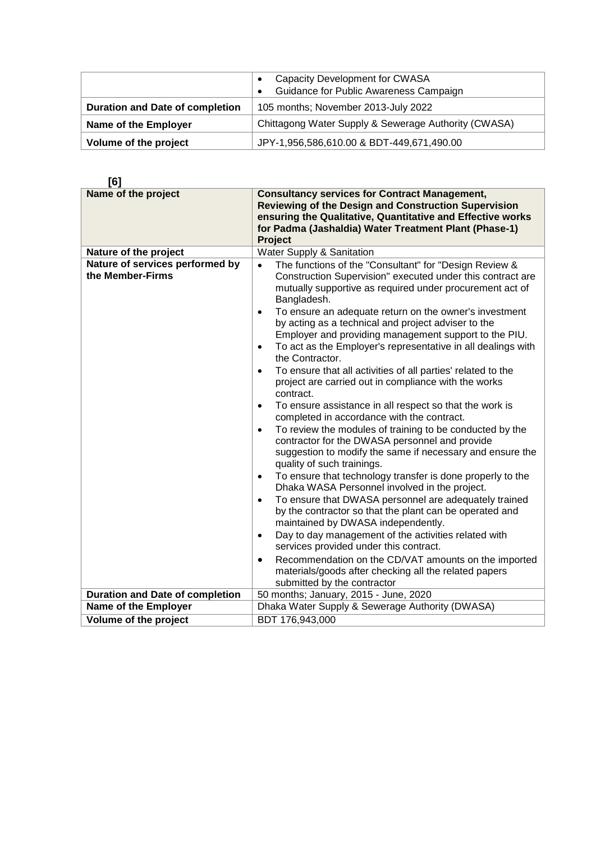|                                                                               | Capacity Development for CWASA<br>Guidance for Public Awareness Campaign<br>$\bullet$ |
|-------------------------------------------------------------------------------|---------------------------------------------------------------------------------------|
| <b>Duration and Date of completion</b><br>105 months; November 2013-July 2022 |                                                                                       |
| <b>Name of the Employer</b>                                                   | Chittagong Water Supply & Sewerage Authority (CWASA)                                  |
| Volume of the project                                                         | JPY-1,956,586,610.00 & BDT-449,671,490.00                                             |

| [6]                                                 |                                                                                                                                                                                                                                                                                                                                                                                                                                                                                                                                                                                                                                                                                                                                                                                                                                                                                                                                                                                                                                                                                                                                                                                                                                                                                                                                                                                                                                                                                                                                      |  |  |  |
|-----------------------------------------------------|--------------------------------------------------------------------------------------------------------------------------------------------------------------------------------------------------------------------------------------------------------------------------------------------------------------------------------------------------------------------------------------------------------------------------------------------------------------------------------------------------------------------------------------------------------------------------------------------------------------------------------------------------------------------------------------------------------------------------------------------------------------------------------------------------------------------------------------------------------------------------------------------------------------------------------------------------------------------------------------------------------------------------------------------------------------------------------------------------------------------------------------------------------------------------------------------------------------------------------------------------------------------------------------------------------------------------------------------------------------------------------------------------------------------------------------------------------------------------------------------------------------------------------------|--|--|--|
| Name of the project                                 | <b>Consultancy services for Contract Management,</b><br><b>Reviewing of the Design and Construction Supervision</b><br>ensuring the Qualitative, Quantitative and Effective works<br>for Padma (Jashaldia) Water Treatment Plant (Phase-1)<br>Project                                                                                                                                                                                                                                                                                                                                                                                                                                                                                                                                                                                                                                                                                                                                                                                                                                                                                                                                                                                                                                                                                                                                                                                                                                                                                |  |  |  |
| Nature of the project                               | Water Supply & Sanitation                                                                                                                                                                                                                                                                                                                                                                                                                                                                                                                                                                                                                                                                                                                                                                                                                                                                                                                                                                                                                                                                                                                                                                                                                                                                                                                                                                                                                                                                                                            |  |  |  |
| Nature of services performed by<br>the Member-Firms | The functions of the "Consultant" for "Design Review &<br>Construction Supervision" executed under this contract are<br>mutually supportive as required under procurement act of<br>Bangladesh.<br>To ensure an adequate return on the owner's investment<br>$\bullet$<br>by acting as a technical and project adviser to the<br>Employer and providing management support to the PIU.<br>To act as the Employer's representative in all dealings with<br>$\bullet$<br>the Contractor.<br>To ensure that all activities of all parties' related to the<br>$\bullet$<br>project are carried out in compliance with the works<br>contract.<br>To ensure assistance in all respect so that the work is<br>$\bullet$<br>completed in accordance with the contract.<br>To review the modules of training to be conducted by the<br>$\bullet$<br>contractor for the DWASA personnel and provide<br>suggestion to modify the same if necessary and ensure the<br>quality of such trainings.<br>To ensure that technology transfer is done properly to the<br>$\bullet$<br>Dhaka WASA Personnel involved in the project.<br>To ensure that DWASA personnel are adequately trained<br>$\bullet$<br>by the contractor so that the plant can be operated and<br>maintained by DWASA independently.<br>Day to day management of the activities related with<br>$\bullet$<br>services provided under this contract.<br>Recommendation on the CD/VAT amounts on the imported<br>$\bullet$<br>materials/goods after checking all the related papers |  |  |  |
|                                                     | submitted by the contractor                                                                                                                                                                                                                                                                                                                                                                                                                                                                                                                                                                                                                                                                                                                                                                                                                                                                                                                                                                                                                                                                                                                                                                                                                                                                                                                                                                                                                                                                                                          |  |  |  |
| <b>Duration and Date of completion</b>              | 50 months; January, 2015 - June, 2020                                                                                                                                                                                                                                                                                                                                                                                                                                                                                                                                                                                                                                                                                                                                                                                                                                                                                                                                                                                                                                                                                                                                                                                                                                                                                                                                                                                                                                                                                                |  |  |  |
| Name of the Employer                                | Dhaka Water Supply & Sewerage Authority (DWASA)                                                                                                                                                                                                                                                                                                                                                                                                                                                                                                                                                                                                                                                                                                                                                                                                                                                                                                                                                                                                                                                                                                                                                                                                                                                                                                                                                                                                                                                                                      |  |  |  |
| Volume of the project                               | BDT 176,943,000                                                                                                                                                                                                                                                                                                                                                                                                                                                                                                                                                                                                                                                                                                                                                                                                                                                                                                                                                                                                                                                                                                                                                                                                                                                                                                                                                                                                                                                                                                                      |  |  |  |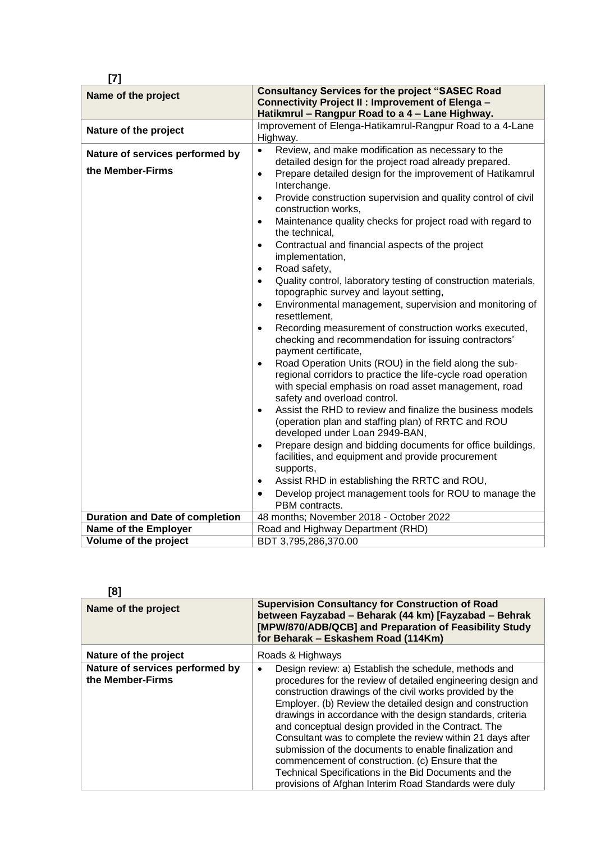| $[7]$                                                                                         |                                                                                                                                                                                                                                                                                                                                                                                                                                                                                                                                                                                                                                                                                                                                                                                                                                                                                                                                                                                                                                                                                                                                                                                                                                                                                                                                                                                                                                                                                                                                                                                                                                                      |
|-----------------------------------------------------------------------------------------------|------------------------------------------------------------------------------------------------------------------------------------------------------------------------------------------------------------------------------------------------------------------------------------------------------------------------------------------------------------------------------------------------------------------------------------------------------------------------------------------------------------------------------------------------------------------------------------------------------------------------------------------------------------------------------------------------------------------------------------------------------------------------------------------------------------------------------------------------------------------------------------------------------------------------------------------------------------------------------------------------------------------------------------------------------------------------------------------------------------------------------------------------------------------------------------------------------------------------------------------------------------------------------------------------------------------------------------------------------------------------------------------------------------------------------------------------------------------------------------------------------------------------------------------------------------------------------------------------------------------------------------------------------|
| Name of the project                                                                           | <b>Consultancy Services for the project "SASEC Road</b><br>Connectivity Project II : Improvement of Elenga -<br>Hatikmrul - Rangpur Road to a 4 - Lane Highway.                                                                                                                                                                                                                                                                                                                                                                                                                                                                                                                                                                                                                                                                                                                                                                                                                                                                                                                                                                                                                                                                                                                                                                                                                                                                                                                                                                                                                                                                                      |
| Nature of the project                                                                         | Improvement of Elenga-Hatikamrul-Rangpur Road to a 4-Lane<br>Highway.                                                                                                                                                                                                                                                                                                                                                                                                                                                                                                                                                                                                                                                                                                                                                                                                                                                                                                                                                                                                                                                                                                                                                                                                                                                                                                                                                                                                                                                                                                                                                                                |
| Nature of services performed by<br>the Member-Firms<br><b>Duration and Date of completion</b> | Review, and make modification as necessary to the<br>$\bullet$<br>detailed design for the project road already prepared.<br>Prepare detailed design for the improvement of Hatikamrul<br>$\bullet$<br>Interchange.<br>Provide construction supervision and quality control of civil<br>$\bullet$<br>construction works,<br>Maintenance quality checks for project road with regard to<br>$\bullet$<br>the technical,<br>Contractual and financial aspects of the project<br>$\bullet$<br>implementation,<br>Road safety,<br>$\bullet$<br>Quality control, laboratory testing of construction materials,<br>$\bullet$<br>topographic survey and layout setting,<br>Environmental management, supervision and monitoring of<br>$\bullet$<br>resettlement.<br>Recording measurement of construction works executed,<br>$\bullet$<br>checking and recommendation for issuing contractors'<br>payment certificate,<br>Road Operation Units (ROU) in the field along the sub-<br>$\bullet$<br>regional corridors to practice the life-cycle road operation<br>with special emphasis on road asset management, road<br>safety and overload control.<br>Assist the RHD to review and finalize the business models<br>$\bullet$<br>(operation plan and staffing plan) of RRTC and ROU<br>developed under Loan 2949-BAN,<br>Prepare design and bidding documents for office buildings,<br>$\bullet$<br>facilities, and equipment and provide procurement<br>supports,<br>Assist RHD in establishing the RRTC and ROU,<br>$\bullet$<br>Develop project management tools for ROU to manage the<br>٠<br>PBM contracts.<br>48 months; November 2018 - October 2022 |
| <b>Name of the Employer</b>                                                                   | Road and Highway Department (RHD)                                                                                                                                                                                                                                                                                                                                                                                                                                                                                                                                                                                                                                                                                                                                                                                                                                                                                                                                                                                                                                                                                                                                                                                                                                                                                                                                                                                                                                                                                                                                                                                                                    |
| Volume of the project                                                                         | BDT 3,795,286,370.00                                                                                                                                                                                                                                                                                                                                                                                                                                                                                                                                                                                                                                                                                                                                                                                                                                                                                                                                                                                                                                                                                                                                                                                                                                                                                                                                                                                                                                                                                                                                                                                                                                 |
|                                                                                               |                                                                                                                                                                                                                                                                                                                                                                                                                                                                                                                                                                                                                                                                                                                                                                                                                                                                                                                                                                                                                                                                                                                                                                                                                                                                                                                                                                                                                                                                                                                                                                                                                                                      |

| ш             |  |
|---------------|--|
|               |  |
| I             |  |
| ۰.<br>×<br>۰. |  |

| [8]                                                 |                                                                                                                                                                                                                                                                                                                                                                                                                                                                                                                                                                                                                                                                    |
|-----------------------------------------------------|--------------------------------------------------------------------------------------------------------------------------------------------------------------------------------------------------------------------------------------------------------------------------------------------------------------------------------------------------------------------------------------------------------------------------------------------------------------------------------------------------------------------------------------------------------------------------------------------------------------------------------------------------------------------|
| Name of the project                                 | <b>Supervision Consultancy for Construction of Road</b><br>between Fayzabad - Beharak (44 km) [Fayzabad - Behrak<br>[MPW/870/ADB/QCB] and Preparation of Feasibility Study<br>for Beharak - Eskashem Road (114Km)                                                                                                                                                                                                                                                                                                                                                                                                                                                  |
| Nature of the project                               | Roads & Highways                                                                                                                                                                                                                                                                                                                                                                                                                                                                                                                                                                                                                                                   |
| Nature of services performed by<br>the Member-Firms | Design review: a) Establish the schedule, methods and<br>procedures for the review of detailed engineering design and<br>construction drawings of the civil works provided by the<br>Employer. (b) Review the detailed design and construction<br>drawings in accordance with the design standards, criteria<br>and conceptual design provided in the Contract. The<br>Consultant was to complete the review within 21 days after<br>submission of the documents to enable finalization and<br>commencement of construction. (c) Ensure that the<br>Technical Specifications in the Bid Documents and the<br>provisions of Afghan Interim Road Standards were duly |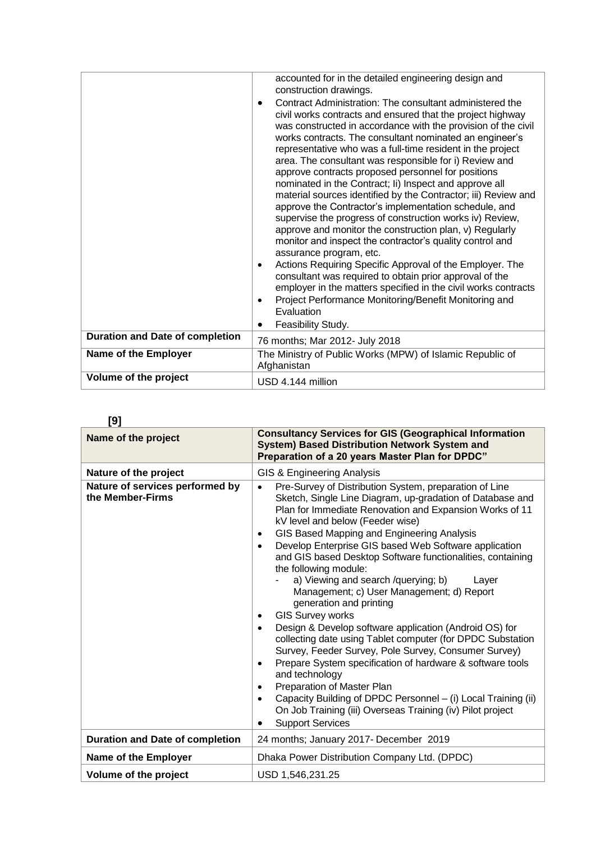|                                        | accounted for in the detailed engineering design and<br>construction drawings.<br>Contract Administration: The consultant administered the<br>civil works contracts and ensured that the project highway<br>was constructed in accordance with the provision of the civil<br>works contracts. The consultant nominated an engineer's<br>representative who was a full-time resident in the project<br>area. The consultant was responsible for i) Review and<br>approve contracts proposed personnel for positions<br>nominated in the Contract; Ii) Inspect and approve all<br>material sources identified by the Contractor; iii) Review and<br>approve the Contractor's implementation schedule, and<br>supervise the progress of construction works iv) Review,<br>approve and monitor the construction plan, v) Regularly<br>monitor and inspect the contractor's quality control and<br>assurance program, etc.<br>Actions Requiring Specific Approval of the Employer. The<br>consultant was required to obtain prior approval of the<br>employer in the matters specified in the civil works contracts<br>Project Performance Monitoring/Benefit Monitoring and<br>Evaluation |
|----------------------------------------|---------------------------------------------------------------------------------------------------------------------------------------------------------------------------------------------------------------------------------------------------------------------------------------------------------------------------------------------------------------------------------------------------------------------------------------------------------------------------------------------------------------------------------------------------------------------------------------------------------------------------------------------------------------------------------------------------------------------------------------------------------------------------------------------------------------------------------------------------------------------------------------------------------------------------------------------------------------------------------------------------------------------------------------------------------------------------------------------------------------------------------------------------------------------------------------|
|                                        | Feasibility Study.                                                                                                                                                                                                                                                                                                                                                                                                                                                                                                                                                                                                                                                                                                                                                                                                                                                                                                                                                                                                                                                                                                                                                                    |
| <b>Duration and Date of completion</b> | 76 months; Mar 2012- July 2018                                                                                                                                                                                                                                                                                                                                                                                                                                                                                                                                                                                                                                                                                                                                                                                                                                                                                                                                                                                                                                                                                                                                                        |
| Name of the Employer                   | The Ministry of Public Works (MPW) of Islamic Republic of<br>Afghanistan                                                                                                                                                                                                                                                                                                                                                                                                                                                                                                                                                                                                                                                                                                                                                                                                                                                                                                                                                                                                                                                                                                              |
| Volume of the project                  | USD 4.144 million                                                                                                                                                                                                                                                                                                                                                                                                                                                                                                                                                                                                                                                                                                                                                                                                                                                                                                                                                                                                                                                                                                                                                                     |

| ×<br>ш            |  |
|-------------------|--|
| I<br>×<br>×<br>۰. |  |

| Name of the project                                 | <b>Consultancy Services for GIS (Geographical Information</b><br>System) Based Distribution Network System and<br>Preparation of a 20 years Master Plan for DPDC"                                                                                                                                                                                                                                                                                                                                                                                                                                                                                                                                                                                                                                                                                                                                                                                                                                                                                                              |
|-----------------------------------------------------|--------------------------------------------------------------------------------------------------------------------------------------------------------------------------------------------------------------------------------------------------------------------------------------------------------------------------------------------------------------------------------------------------------------------------------------------------------------------------------------------------------------------------------------------------------------------------------------------------------------------------------------------------------------------------------------------------------------------------------------------------------------------------------------------------------------------------------------------------------------------------------------------------------------------------------------------------------------------------------------------------------------------------------------------------------------------------------|
| Nature of the project                               | GIS & Engineering Analysis                                                                                                                                                                                                                                                                                                                                                                                                                                                                                                                                                                                                                                                                                                                                                                                                                                                                                                                                                                                                                                                     |
| Nature of services performed by<br>the Member-Firms | Pre-Survey of Distribution System, preparation of Line<br>Sketch, Single Line Diagram, up-gradation of Database and<br>Plan for Immediate Renovation and Expansion Works of 11<br>kV level and below (Feeder wise)<br>GIS Based Mapping and Engineering Analysis<br>$\bullet$<br>Develop Enterprise GIS based Web Software application<br>$\bullet$<br>and GIS based Desktop Software functionalities, containing<br>the following module:<br>a) Viewing and search /querying; b)<br>Layer<br>Management; c) User Management; d) Report<br>generation and printing<br><b>GIS Survey works</b><br>Design & Develop software application (Android OS) for<br>$\bullet$<br>collecting date using Tablet computer (for DPDC Substation<br>Survey, Feeder Survey, Pole Survey, Consumer Survey)<br>Prepare System specification of hardware & software tools<br>and technology<br>Preparation of Master Plan<br>Capacity Building of DPDC Personnel - (i) Local Training (ii)<br>$\bullet$<br>On Job Training (iii) Overseas Training (iv) Pilot project<br><b>Support Services</b> |
| <b>Duration and Date of completion</b>              | 24 months; January 2017- December 2019                                                                                                                                                                                                                                                                                                                                                                                                                                                                                                                                                                                                                                                                                                                                                                                                                                                                                                                                                                                                                                         |
| Name of the Employer                                | Dhaka Power Distribution Company Ltd. (DPDC)                                                                                                                                                                                                                                                                                                                                                                                                                                                                                                                                                                                                                                                                                                                                                                                                                                                                                                                                                                                                                                   |
| Volume of the project                               | USD 1,546,231.25                                                                                                                                                                                                                                                                                                                                                                                                                                                                                                                                                                                                                                                                                                                                                                                                                                                                                                                                                                                                                                                               |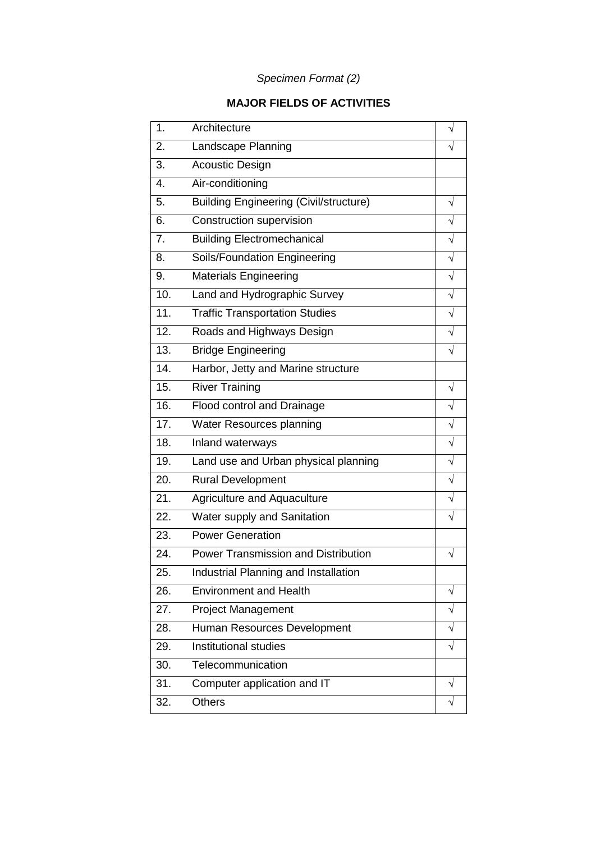### *Specimen Format (2)*

#### **MAJOR FIELDS OF ACTIVITIES**

| 1.               | Architecture                                  |           |
|------------------|-----------------------------------------------|-----------|
| 2.               | Landscape Planning                            |           |
| 3.               | <b>Acoustic Design</b>                        |           |
| 4.               | Air-conditioning                              |           |
| 5.               | <b>Building Engineering (Civil/structure)</b> | $\sqrt{}$ |
| 6.               | Construction supervision                      |           |
| $\overline{7}$ . | <b>Building Electromechanical</b>             |           |
| 8.               | Soils/Foundation Engineering                  |           |
| 9.               | <b>Materials Engineering</b>                  |           |
| 10.              | Land and Hydrographic Survey                  |           |
| 11.              | <b>Traffic Transportation Studies</b>         |           |
| 12.              | Roads and Highways Design                     |           |
| 13.              | <b>Bridge Engineering</b>                     |           |
| 14.              | Harbor, Jetty and Marine structure            |           |
| 15.              | <b>River Training</b>                         | $\sqrt{}$ |
| 16.              | Flood control and Drainage                    |           |
| 17.              | <b>Water Resources planning</b>               |           |
| 18.              | Inland waterways                              | $\sqrt{}$ |
| 19.              | Land use and Urban physical planning          | $\sqrt{}$ |
| 20.              | <b>Rural Development</b>                      | $\sqrt{}$ |
| 21.              | Agriculture and Aquaculture                   |           |
| 22.              | Water supply and Sanitation                   |           |
| 23.              | <b>Power Generation</b>                       |           |
| 24.              | <b>Power Transmission and Distribution</b>    |           |
| 25.              | Industrial Planning and Installation          |           |
| 26.              | <b>Environment and Health</b>                 | V         |
| 27.              | <b>Project Management</b>                     |           |
| 28.              | Human Resources Development                   |           |
| 29.              | Institutional studies                         | $\sqrt{}$ |
| 30.              | Telecommunication                             |           |
| 31.              | Computer application and IT                   |           |
| 32.              | <b>Others</b>                                 |           |